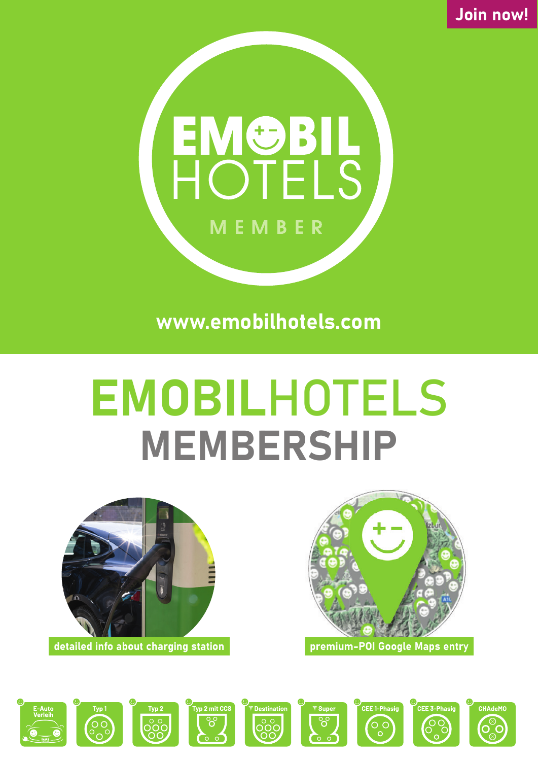**Join now!**



**www.emobilhotels.com**

# **EMOBIL**HOTELS **MEMBERSHIP**



**premium-POI Google Maps entry**

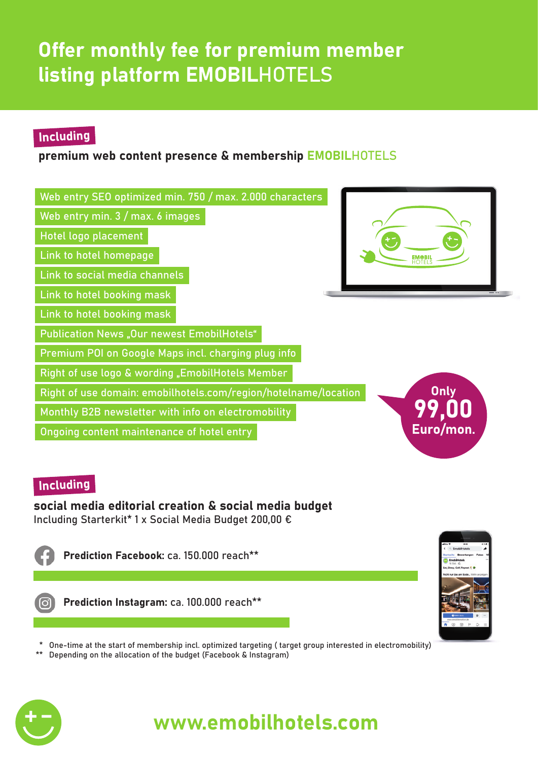### **Offer monthly fee for premium member listing platform EMOBIL**HOTELS

### **Including**

### **premium web content presence & membership EMOBIL**HOTELS

| Web entry SEO optimized min. 750 / max. 2.000 characters                       |           |
|--------------------------------------------------------------------------------|-----------|
| Web entry min. 3 / max. 6 images                                               |           |
| Hotel logo placement                                                           |           |
| Link to hotel homepage                                                         |           |
| Link to social media channels                                                  |           |
| Link to hotel booking mask                                                     |           |
| Link to hotel booking mask                                                     |           |
| <b>Publication News "Our newest EmobilHotels"</b>                              |           |
| Premium POI on Google Maps incl. charging plug info                            |           |
| Right of use logo & wording "EmobilHotels Member                               |           |
| <b>Only</b><br>Right of use domain: emobilhotels.com/region/hotelname/location |           |
| Monthly B2B newsletter with info on electromobility                            |           |
| Ongoing content maintenance of hotel entry                                     | Euro/mon. |

#### **Including**

**social media editorial creation & social media budget** Including Starterkit\* 1 x Social Media Budget 200,00 €



**Prediction Facebook:** ca. 150.000 reach\*\*



 **Prediction Instagram:** ca. 100.000 reach\*\*



\* One-time at the start of membership incl. optimized targeting ( target group interested in electromobility)

Depending on the allocation of the budget (Facebook & Instagram)



### **www.emobilhotels.com**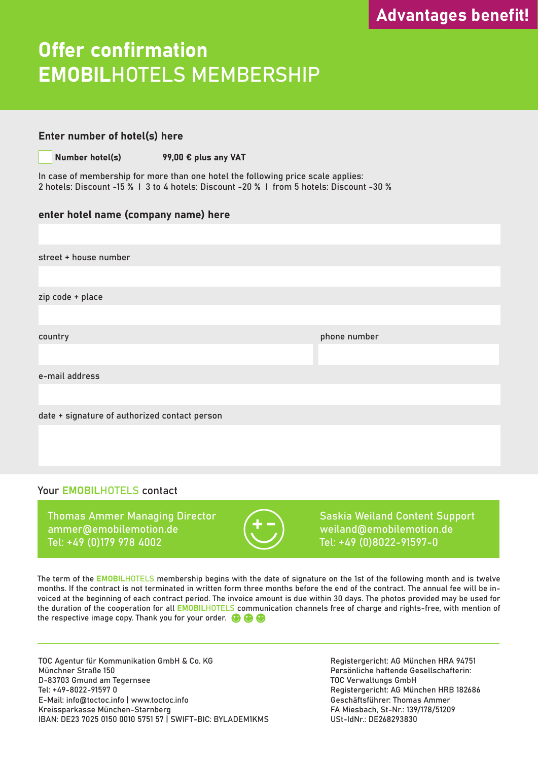### **Offer confirmation EMOBIL**HOTELS MEMBERSHIP

#### **Enter number of hotel(s) here**

**Number hotel(s) 99,00 € plus any VAT**

In case of membership for more than one hotel the following price scale applies: 2 hotels: Discount -15 % I 3 to 4 hotels: Discount -20 % I from 5 hotels: Discount -30 %

#### **enter hotel name (company name) here**

street + house number zip code + place country phone number e-mail address date + signature of authorized contact person

#### Your **EMOBIL**HOTELS contact

Thomas Ammer Managing Director Cassing Saskia Weiland Content Support ammer@emobilemotion.de (T T) weiland@emobilemotion.de Tel: +49 (0)179 978 4002 Tel: +49 (0)8022-91597-0



The term of the **EMOBIL**HOTELS membership begins with the date of signature on the 1st of the following month and is twelve months. If the contract is not terminated in written form three months before the end of the contract. The annual fee will be invoiced at the beginning of each contract period. The invoice amount is due within 30 days. The photos provided may be used for the duration of the cooperation for all **EMOBIL**HOTELS communication channels free of charge and rights-free, with mention of the respective image copy. Thank you for your order.  $\bigoplus$ 

TOC Agentur für Kommunikation GmbH & Co. KG Münchner Straße 150 D-83703 Gmund am Tegernsee Tel: +49-8022-91597 0 E-Mail: info@toctoc.info | www.toctoc.info Kreissparkasse München-Starnberg IBAN: DE23 7025 0150 0010 5751 57 | SWIFT-BIC: BYLADEM1KMS Registergericht: AG München HRA 94751 Persönliche haftende Gesellschafterin: TOC Verwaltungs GmbH Registergericht: AG München HRB 182686 Geschäftsführer: Thomas Ammer FA Miesbach, St-Nr.: 139/178/51209 USt-IdNr.: DE268293830